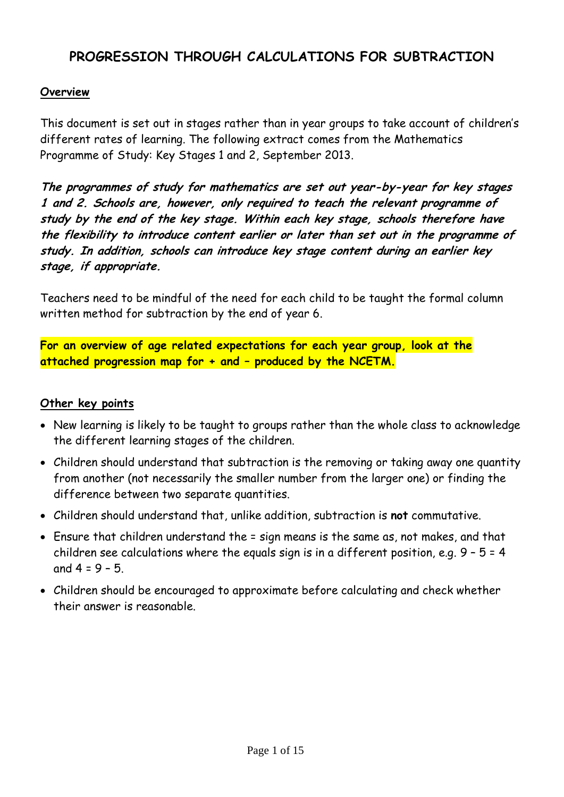## **PROGRESSION THROUGH CALCULATIONS FOR SUBTRACTION**

#### **Overview**

This document is set out in stages rather than in year groups to take account of children's different rates of learning. The following extract comes from the Mathematics Programme of Study: Key Stages 1 and 2, September 2013.

**The programmes of study for mathematics are set out year-by-year for key stages 1 and 2. Schools are, however, only required to teach the relevant programme of study by the end of the key stage. Within each key stage, schools therefore have the flexibility to introduce content earlier or later than set out in the programme of study. In addition, schools can introduce key stage content during an earlier key stage, if appropriate.**

Teachers need to be mindful of the need for each child to be taught the formal column written method for subtraction by the end of year 6.

**For an overview of age related expectations for each year group, look at the attached progression map for + and – produced by the NCETM.**

#### **Other key points**

- New learning is likely to be taught to groups rather than the whole class to acknowledge the different learning stages of the children.
- Children should understand that subtraction is the removing or taking away one quantity from another (not necessarily the smaller number from the larger one) or finding the difference between two separate quantities.
- Children should understand that, unlike addition, subtraction is **not** commutative.
- Ensure that children understand the = sign means is the same as, not makes, and that children see calculations where the equals sign is in a different position, e.g.  $9 - 5 = 4$ and  $4 = 9 - 5$ .
- Children should be encouraged to approximate before calculating and check whether their answer is reasonable.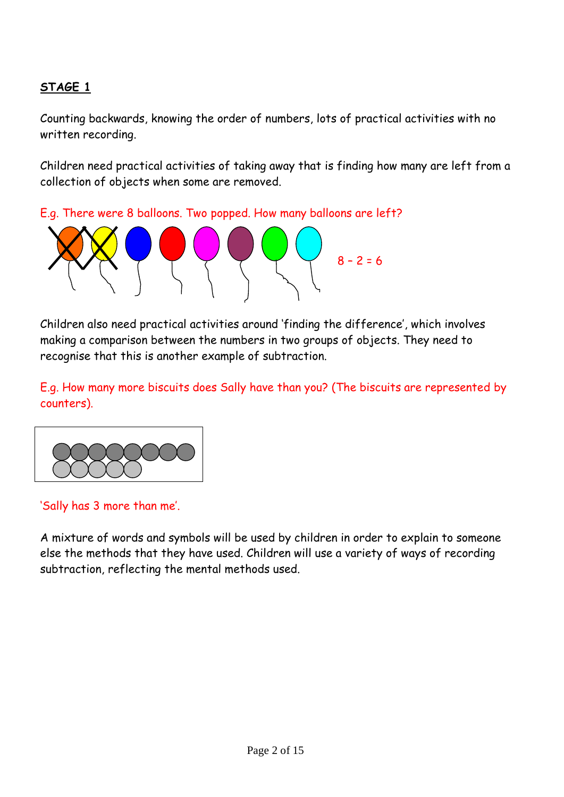## **STAGE 1**

Counting backwards, knowing the order of numbers, lots of practical activities with no written recording.

Children need practical activities of taking away that is finding how many are left from a collection of objects when some are removed.

E.g. There were 8 balloons. Two popped. How many balloons are left?



Children also need practical activities around 'finding the difference', which involves making a comparison between the numbers in two groups of objects. They need to recognise that this is another example of subtraction.

E.g. How many more biscuits does Sally have than you? (The biscuits are represented by counters).



'Sally has 3 more than me'.

A mixture of words and symbols will be used by children in order to explain to someone else the methods that they have used. Children will use a variety of ways of recording subtraction, reflecting the mental methods used.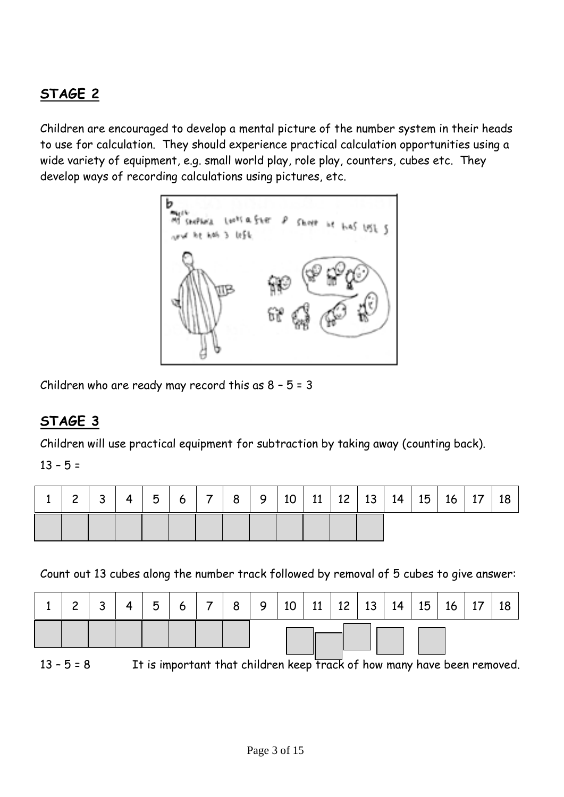# **STAGE 2**

Children are encouraged to develop a mental picture of the number system in their heads to use for calculation. They should experience practical calculation opportunities using a wide variety of equipment, e.g. small world play, role play, counters, cubes etc. They develop ways of recording calculations using pictures, etc.



Children who are ready may record this as  $8 - 5 = 3$ 

## **STAGE 3**

Children will use practical equipment for subtraction by taking away (counting back).

 $13 - 5 =$ 

| $\sim$ | 3 | $\overline{4}$ | 51 |  |  |  |  | $6 \mid 7 \mid 8 \mid 9 \mid 10 \mid 11 \mid 12 \mid 13 \mid 14 \mid 15 \mid$ | $16$ 17 | 18 |
|--------|---|----------------|----|--|--|--|--|-------------------------------------------------------------------------------|---------|----|
|        |   |                |    |  |  |  |  |                                                                               |         |    |

Count out 13 cubes along the number track followed by removal of 5 cubes to give answer:

|              |  | 5 | 6 <sup>1</sup> | 8 <sup>1</sup> | 9   10   11   12   13   14   15   16   17 |  |  |  | 18                                                                      |
|--------------|--|---|----------------|----------------|-------------------------------------------|--|--|--|-------------------------------------------------------------------------|
|              |  |   |                |                |                                           |  |  |  |                                                                         |
| $13 - 5 = 8$ |  |   |                |                |                                           |  |  |  | It is important that children keep track of how many have been removed. |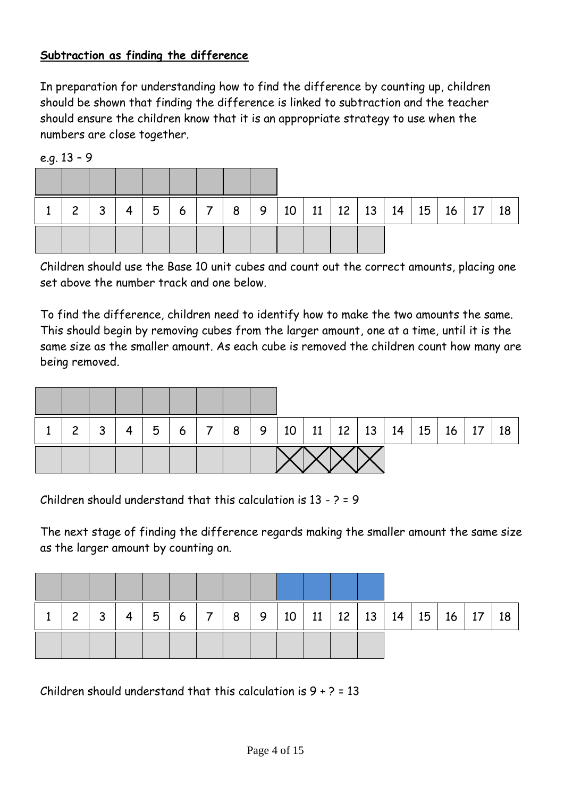#### **Subtraction as finding the difference**

In preparation for understanding how to find the difference by counting up, children should be shown that finding the difference is linked to subtraction and the teacher should ensure the children know that it is an appropriate strategy to use when the numbers are close together.

| $\overline{2}$ | 2<br>ت | 4 | 5 | 6 | 8 <sup>1</sup> | 9 <sup>1</sup> |  |  | $10$   11   12   13   14   15 | 16 <sub>1</sub> | $\sqrt{17}$ | 18 |
|----------------|--------|---|---|---|----------------|----------------|--|--|-------------------------------|-----------------|-------------|----|
|                |        |   |   |   |                |                |  |  |                               |                 |             |    |

e.g. 13 – 9

Children should use the Base 10 unit cubes and count out the correct amounts, placing one set above the number track and one below.

To find the difference, children need to identify how to make the two amounts the same. This should begin by removing cubes from the larger amount, one at a time, until it is the same size as the smaller amount. As each cube is removed the children count how many are being removed.

| $\mathbf{2}$ | 3 | 4 | 5 | $\begin{array}{c c c c c c c c c} \hline & 6 & 7 & \end{array}$ |  | 8   9   10   11   12   13   14   15   16   17 |  |  |  | 18 |
|--------------|---|---|---|-----------------------------------------------------------------|--|-----------------------------------------------|--|--|--|----|
|              |   |   |   |                                                                 |  |                                               |  |  |  |    |

Children should understand that this calculation is 13 - ? = 9

The next stage of finding the difference regards making the smaller amount the same size as the larger amount by counting on.

| $\overline{2}$ | 3 | $\overline{4}$ | 5 | 6 | $\vert 7 \vert 8 \vert$ | 9   10   11   12   13   14   15   16   17 |  |  |  | 18 |
|----------------|---|----------------|---|---|-------------------------|-------------------------------------------|--|--|--|----|
|                |   |                |   |   |                         |                                           |  |  |  |    |

Children should understand that this calculation is  $9 + ? = 13$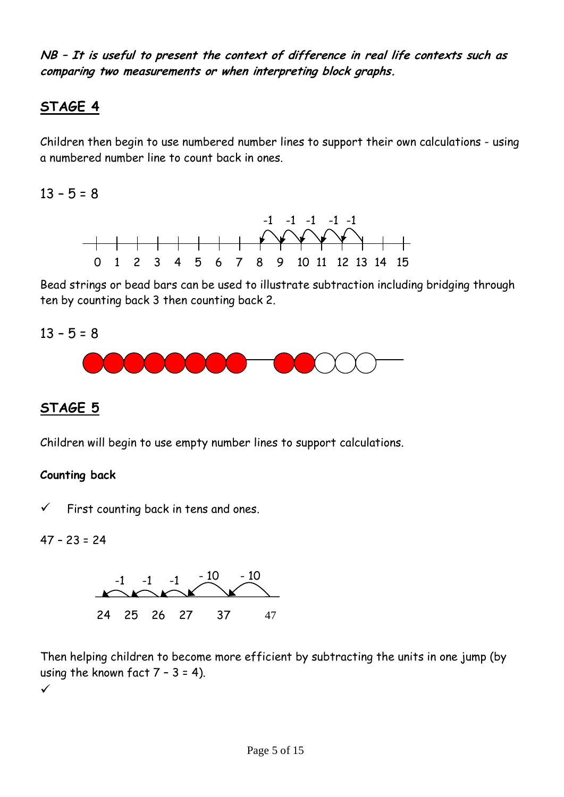**NB – It is useful to present the context of difference in real life contexts such as comparing two measurements or when interpreting block graphs.** 

## **STAGE 4**

Children then begin to use numbered number lines to support their own calculations - using a numbered number line to count back in ones.

 $13 - 5 = 8$ 



Bead strings or bead bars can be used to illustrate subtraction including bridging through ten by counting back 3 then counting back 2.

 $13 - 5 = 8$ 



## **STAGE 5**

Children will begin to use empty number lines to support calculations.

#### **Counting back**

 $\checkmark$  First counting back in tens and ones.

47 – 23 = 24



Then helping children to become more efficient by subtracting the units in one jump (by using the known fact  $7 - 3 = 4$ ).  $\checkmark$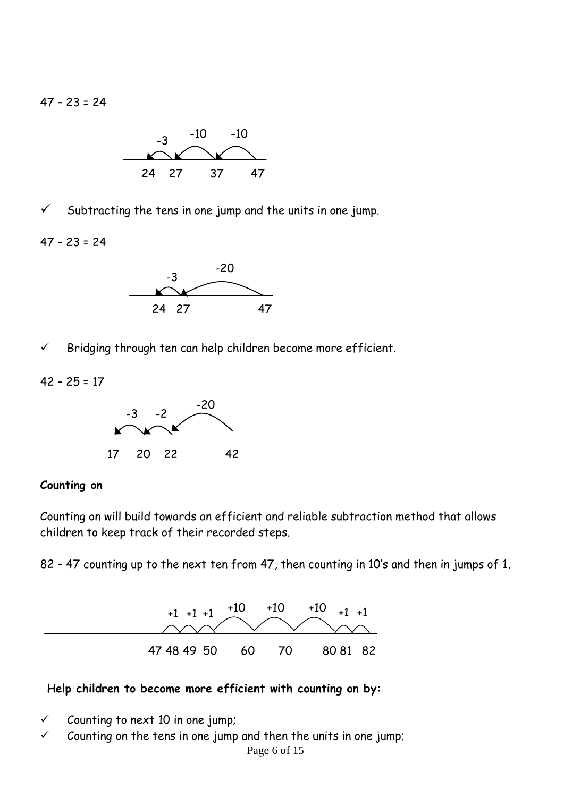$47 - 23 = 24$ 



 $\checkmark$  Subtracting the tens in one jump and the units in one jump.

 $47 - 23 = 24$ 



 $\checkmark$  Bridging through ten can help children become more efficient.

42 – 25 = 17



#### **Counting on**

Counting on will build towards an efficient and reliable subtraction method that allows children to keep track of their recorded steps.

82 – 47 counting up to the next ten from 47, then counting in 10's and then in jumps of 1.



#### **Help children to become more efficient with counting on by:**

- $\checkmark$  Counting to next 10 in one jump;
- $\checkmark$  Counting on the tens in one jump and then the units in one jump;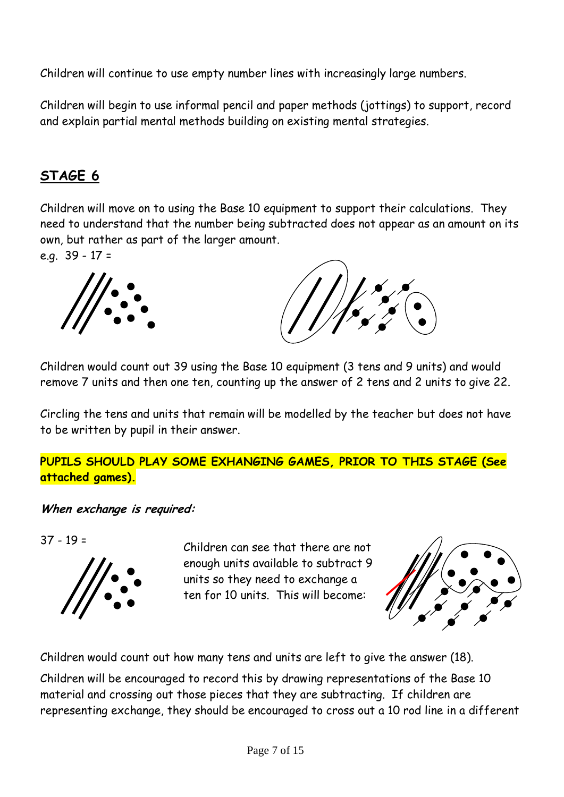Children will continue to use empty number lines with increasingly large numbers.

Children will begin to use informal pencil and paper methods (jottings) to support, record and explain partial mental methods building on existing mental strategies.

# **STAGE 6**

Children will move on to using the Base 10 equipment to support their calculations. They need to understand that the number being subtracted does not appear as an amount on its own, but rather as part of the larger amount.

e.g. 39 - 17 =



Children would count out 39 using the Base 10 equipment (3 tens and 9 units) and would remove 7 units and then one ten, counting up the answer of 2 tens and 2 units to give 22.

Circling the tens and units that remain will be modelled by the teacher but does not have to be written by pupil in their answer.

### **PUPILS SHOULD PLAY SOME EXHANGING GAMES, PRIOR TO THIS STAGE (See attached games).**

**When exchange is required:**

37 - 19 =



Children can see that there are not enough units available to subtract 9 units so they need to exchange a ten for 10 units. This will become:



Children would count out how many tens and units are left to give the answer (18).

Children will be encouraged to record this by drawing representations of the Base 10 material and crossing out those pieces that they are subtracting. If children are representing exchange, they should be encouraged to cross out a 10 rod line in a different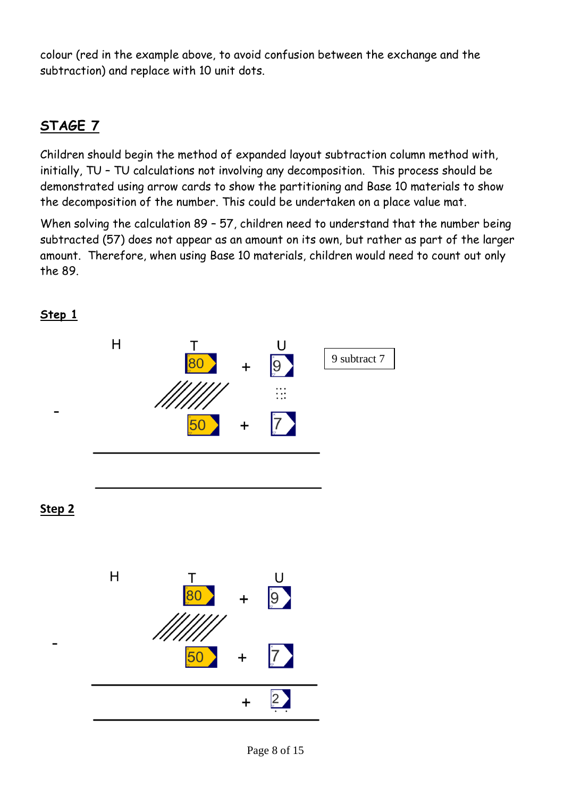colour (red in the example above, to avoid confusion between the exchange and the subtraction) and replace with 10 unit dots.

# **STAGE 7**

Children should begin the method of expanded layout subtraction column method with, initially, TU – TU calculations not involving any decomposition. This process should be demonstrated using arrow cards to show the partitioning and Base 10 materials to show the decomposition of the number. This could be undertaken on a place value mat.

When solving the calculation 89 – 57, children need to understand that the number being subtracted (57) does not appear as an amount on its own, but rather as part of the larger amount. Therefore, when using Base 10 materials, children would need to count out only the 89.



### **Step 1**

Page 8 of 15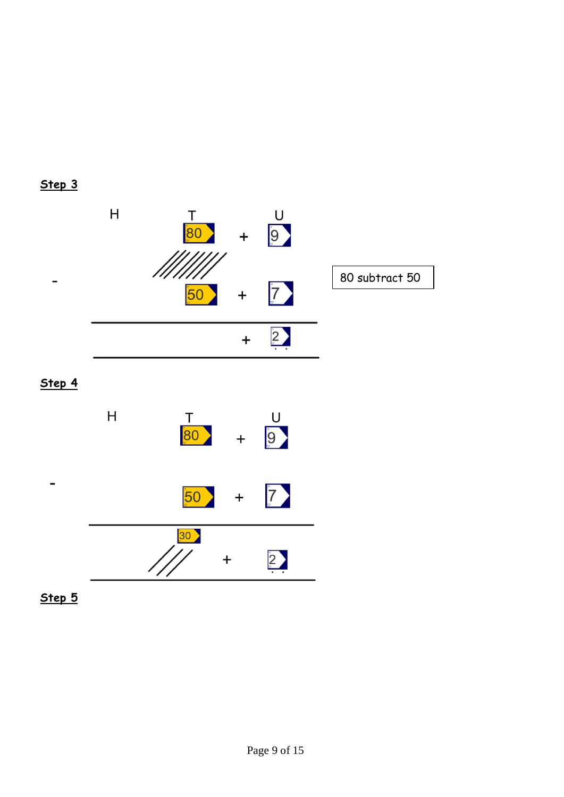



**Step 4**



**Step 5**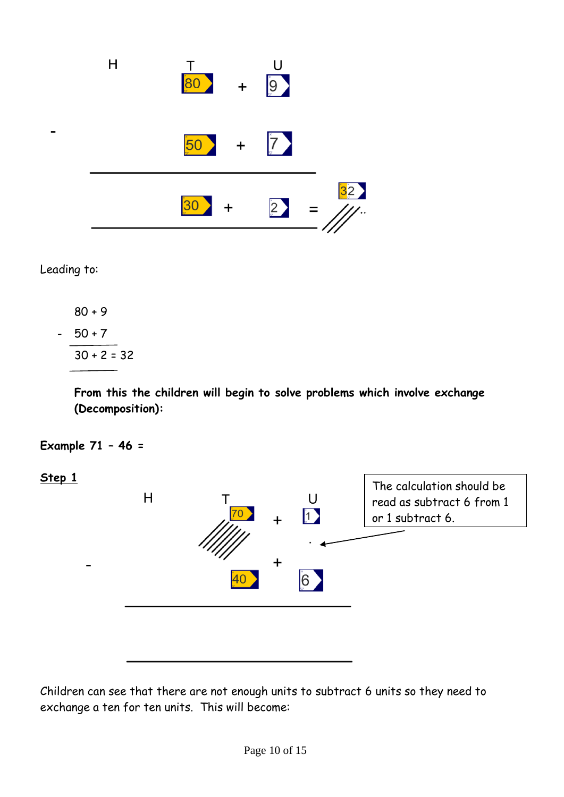

Leading to:

 80 + 9  $-50+7$  $30 + 2 = 32$ 

> **From this the children will begin to solve problems which involve exchange (Decomposition):**

**Example 71 – 46 =** 

**Step 1**



Children can see that there are not enough units to subtract 6 units so they need to exchange a ten for ten units. This will become: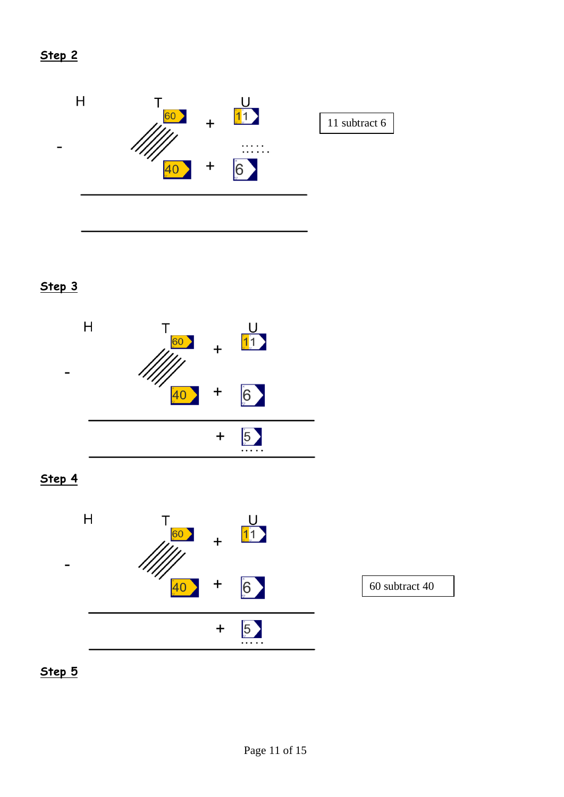

# **Step 3**



**Step 4**



**Step 5**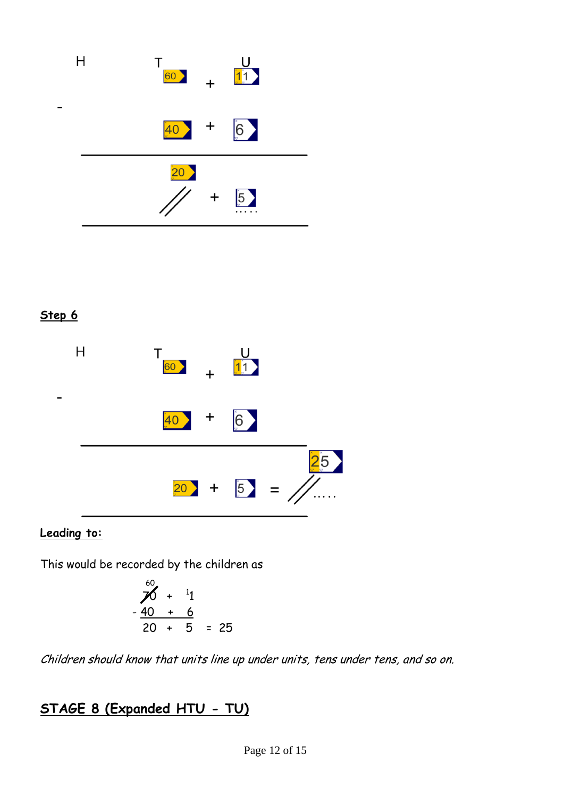

#### **Step 6**



### **Leading to:**

This would be recorded by the children as

$$
\begin{array}{r} 60 \\
70 + 11 \\
 -40 + 6 \\
 \hline\n 20 + 5 = 25\n \end{array}
$$

Children should know that units line up under units, tens under tens, and so on.

# **STAGE 8 (Expanded HTU - TU)**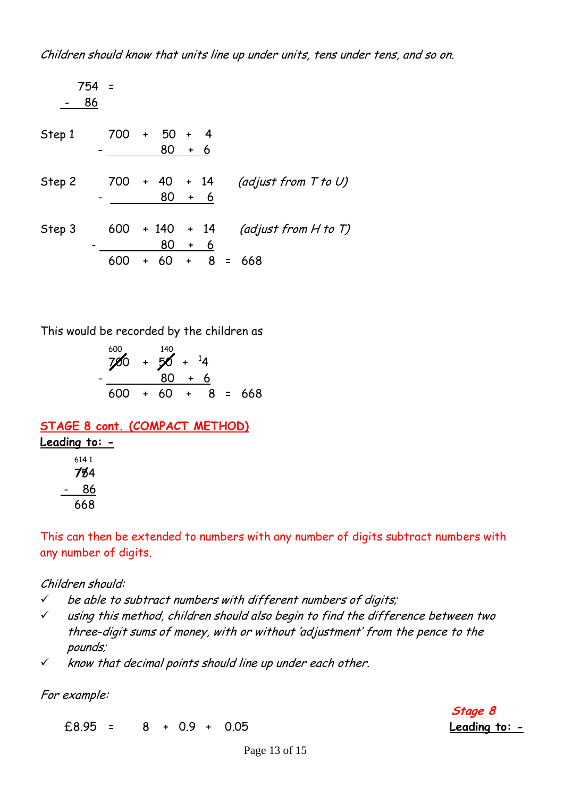$$
754 = \frac{-86}{-86}
$$
\nStep 1

\n
$$
700 + 50 + 4
$$
\n
$$
- \frac{80 + 6}{-80 + 6}
$$
\nStep 2

\n
$$
700 + 40 + 14
$$
\n
$$
80 + 6
$$
\n
$$
5 \text{tep 3}
$$
\n
$$
600 + 140 + 14
$$
\n
$$
(adjust from H to T)
$$
\n
$$
- \frac{80 + 6}{600 + 60 + 8} = 668
$$

This would be recorded by the children as

$$
\frac{600}{700} + \frac{140}{50} + \frac{14}{4}
$$
  
- 
$$
\frac{80 + 6}{600 + 60 + 8} = 668
$$

#### **STAGE 8 cont. (COMPACT METHOD) Leading to: -** 614 1 754 **//** - 86 668

This can then be extended to numbers with any number of digits subtract numbers with any number of digits.

#### Children should:

- $\checkmark$  be able to subtract numbers with different numbers of digits;
- $\checkmark$  using this method, children should also begin to find the difference between two three-digit sums of money, with or without 'adjustment' from the pence to the pounds;
- $\checkmark$  know that decimal points should line up under each other.

For example:

£8.95 = 8 + 0.9 + 0.05 **Leading to: -**

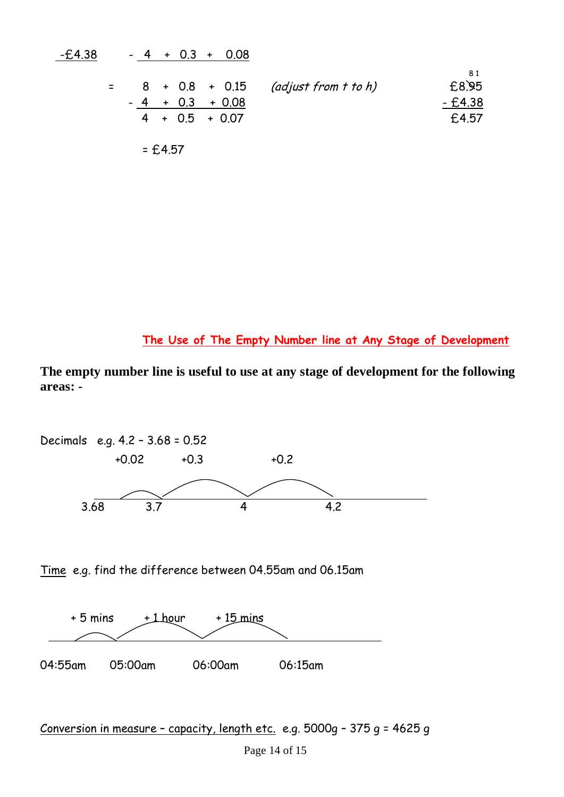-£4.38 - 4 + 0.3 + 0.08 8 1 = 8 + 0.8 + 0.15 (adjust from t to h)£8.95 - 4+0.3+ 0.08 - £4.38 4 + 0.5 + 0.07£4.57 = £4.57

**The Use of The Empty Number line at Any Stage of Development**

**The empty number line is useful to use at any stage of development for the following areas: -**



Time e.g. find the difference between 04.55am and 06.15am



```
Conversion in measure – capacity, length etc. e.g. 5000g – 375 g = 4625 g
```